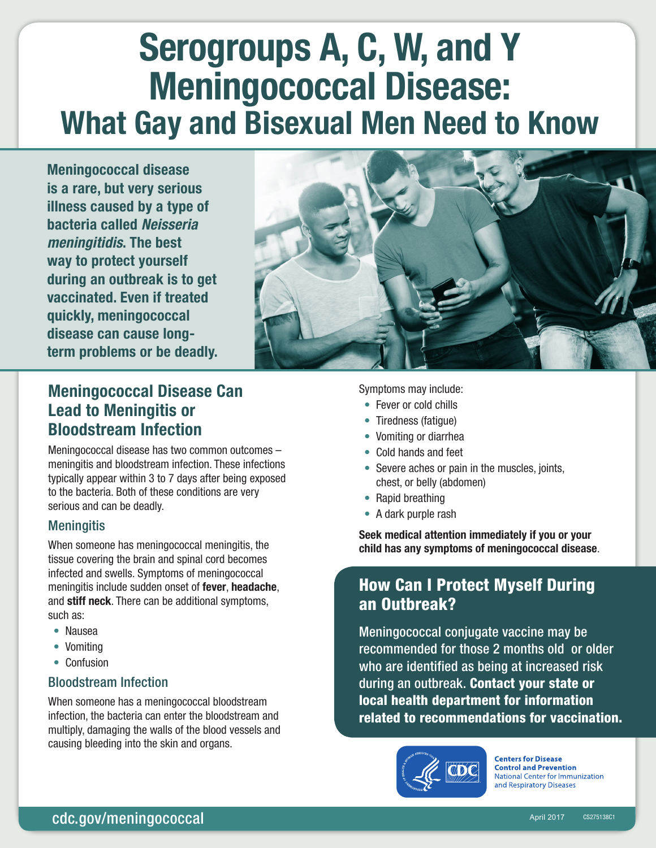# Serogroups A, C, W, and Y Meningococcal Disease: What Gay and Bisexual Men Need to Know

Meningococcal disease is a rare, but very serious illness caused by a type of bacteria called *Neisseria meningitidis*. The best way to protect yourself during an outbreak is to get vaccinated. Even if treated quickly, meningococcal disease can cause longterm problems or be deadly.



# Meningococcal Disease Can Lead to Meningitis or Bloodstream Infection

Meningococcal disease has two common outcomes – meningitis and bloodstream infection. These infections typically appear within 3 to 7 days after being exposed to the bacteria. Both of these conditions are very serious and can be deadly.

#### **Meningitis**

When someone has meningococcal meningitis, the tissue covering the brain and spinal cord becomes infected and swells. Symptoms of meningococcal meningitis include sudden onset of fever, headache, and stiff neck. There can be additional symptoms, such as:

- Nausea
- Vomiting
- Confusion

#### Bloodstream Infection

When someone has a meningococcal bloodstream infection, the bacteria can enter the bloodstream and multiply, damaging the walls of the blood vessels and causing bleeding into the skin and organs.

Symptoms may include:

- Fever or cold chills
- Tiredness (fatigue)
- Vomiting or diarrhea
- Cold hands and feet
- Severe aches or pain in the muscles, joints, chest, or belly (abdomen)
- Rapid breathing
- A dark purple rash

Seek medical attention immediately if you or your child has any symptoms of meningococcal disease.

## How Can I Protect Myself During an Outbreak?

Meningococcal conjugate vaccine may be recommended for those 2 months old or older who are identified as being at increased risk during an outbreak. Contact your state or local health department for information related to recommendations for vaccination.



**Centers for Disease Control and Prevention National Center for Immunization** and Respiratory Diseases